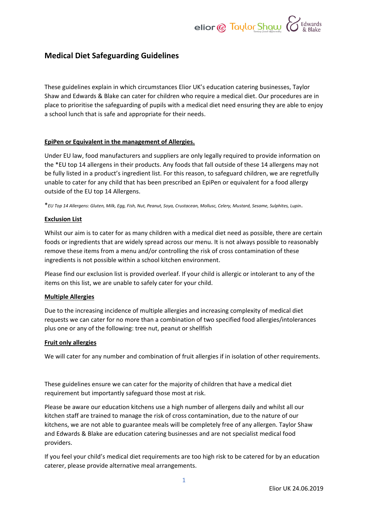

# **Medical Diet Safeguarding Guidelines**

These guidelines explain in which circumstances Elior UK's education catering businesses, Taylor Shaw and Edwards & Blake can cater for children who require a medical diet. Our procedures are in place to prioritise the safeguarding of pupils with a medical diet need ensuring they are able to enjoy a school lunch that is safe and appropriate for their needs.

### **EpiPen or Equivalent in the management of Allergies.**

Under EU law, food manufacturers and suppliers are only legally required to provide information on the \*EU top 14 allergens in their products. Any foods that fall outside of these 14 allergens may not be fully listed in a product's ingredient list. For this reason, to safeguard children, we are regretfully unable to cater for any child that has been prescribed an EpiPen or equivalent for a food allergy outside of the EU top 14 Allergens.

\**EU Top 14 Allergens: Gluten, Milk, Egg, Fish, Nut, Peanut, Soya, Crustacean, Mollusc, Celery, Mustard, Sesame, Sulphites, Lupin*.

#### **Exclusion List**

Whilst our aim is to cater for as many children with a medical diet need as possible, there are certain foods or ingredients that are widely spread across our menu. It is not always possible to reasonably remove these items from a menu and/or controlling the risk of cross contamination of these ingredients is not possible within a school kitchen environment.

Please find our exclusion list is provided overleaf. If your child is allergic or intolerant to any of the items on this list, we are unable to safely cater for your child.

## **Multiple Allergies**

Due to the increasing incidence of multiple allergies and increasing complexity of medical diet requests we can cater for no more than a combination of two specified food allergies/intolerances plus one or any of the following: tree nut, peanut or shellfish

#### **Fruit only allergies**

We will cater for any number and combination of fruit allergies if in isolation of other requirements.

These guidelines ensure we can cater for the majority of children that have a medical diet requirement but importantly safeguard those most at risk.

Please be aware our education kitchens use a high number of allergens daily and whilst all our kitchen staff are trained to manage the risk of cross contamination, due to the nature of our kitchens, we are not able to guarantee meals will be completely free of any allergen. Taylor Shaw and Edwards & Blake are education catering businesses and are not specialist medical food providers.

If you feel your child's medical diet requirements are too high risk to be catered for by an education caterer, please provide alternative meal arrangements.